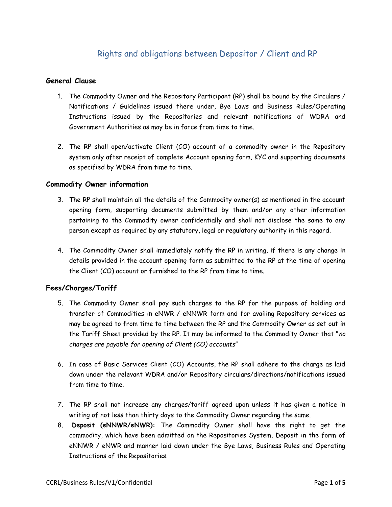# Rights and obligations between Depositor / Client and RP

### **General Clause**

- 1. The Commodity Owner and the Repository Participant (RP) shall be bound by the Circulars / Notifications / Guidelines issued there under, Bye Laws and Business Rules/Operating Instructions issued by the Repositories and relevant notifications of WDRA and Government Authorities as may be in force from time to time.
- 2. The RP shall open/activate Client (CO) account of a commodity owner in the Repository system only after receipt of complete Account opening form, KYC and supporting documents as specified by WDRA from time to time.

#### **Commodity Owner information**

- 3. The RP shall maintain all the details of the Commodity owner(s) as mentioned in the account opening form, supporting documents submitted by them and/or any other information pertaining to the Commodity owner confidentially and shall not disclose the same to any person except as required by any statutory, legal or regulatory authority in this regard.
- 4. The Commodity Owner shall immediately notify the RP in writing, if there is any change in details provided in the account opening form as submitted to the RP at the time of opening the Client (CO) account or furnished to the RP from time to time.

# **Fees/Charges/Tariff**

- 5. The Commodity Owner shall pay such charges to the RP for the purpose of holding and transfer of Commodities in eNWR / eNNWR form and for availing Repository services as may be agreed to from time to time between the RP and the Commodity Owner as set out in the Tariff Sheet provided by the RP. It may be informed to the Commodity Owner that "*no charges are payable for opening of Client (CO) accounts*"
- 6. In case of Basic Services Client (CO) Accounts, the RP shall adhere to the charge as laid down under the relevant WDRA and/or Repository circulars/directions/notifications issued from time to time.
- 7. The RP shall not increase any charges/tariff agreed upon unless it has given a notice in writing of not less than thirty days to the Commodity Owner regarding the same.
- 8. **Deposit (eNNWR/eNWR):** The Commodity Owner shall have the right to get the commodity, which have been admitted on the Repositories System, Deposit in the form of eNNWR / eNWR and manner laid down under the Bye Laws, Business Rules and Operating Instructions of the Repositories.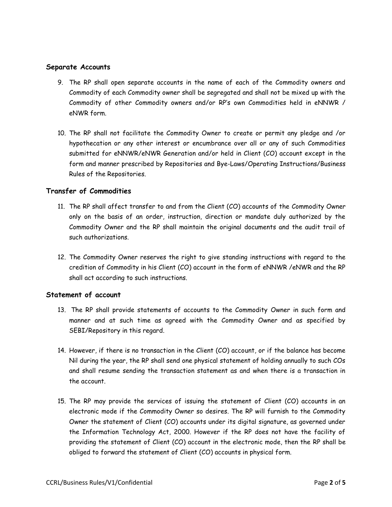### **Separate Accounts**

- 9. The RP shall open separate accounts in the name of each of the Commodity owners and Commodity of each Commodity owner shall be segregated and shall not be mixed up with the Commodity of other Commodity owners and/or RP's own Commodities held in eNNWR / eNWR form.
- 10. The RP shall not facilitate the Commodity Owner to create or permit any pledge and /or hypothecation or any other interest or encumbrance over all or any of such Commodities submitted for eNNWR/eNWR Generation and/or held in Client (CO) account except in the form and manner prescribed by Repositories and Bye-Laws/Operating Instructions/Business Rules of the Repositories.

### **Transfer of Commodities**

- 11. The RP shall affect transfer to and from the Client (CO) accounts of the Commodity Owner only on the basis of an order, instruction, direction or mandate duly authorized by the Commodity Owner and the RP shall maintain the original documents and the audit trail of such authorizations.
- 12. The Commodity Owner reserves the right to give standing instructions with regard to the credition of Commodity in his Client (CO) account in the form of eNNWR /eNWR and the RP shall act according to such instructions.

# **Statement of account**

- 13. The RP shall provide statements of accounts to the Commodity Owner in such form and manner and at such time as agreed with the Commodity Owner and as specified by SEBI/Repository in this regard.
- 14. However, if there is no transaction in the Client (CO) account, or if the balance has become Nil during the year, the RP shall send one physical statement of holding annually to such COs and shall resume sending the transaction statement as and when there is a transaction in the account.
- 15. The RP may provide the services of issuing the statement of Client (CO) accounts in an electronic mode if the Commodity Owner so desires. The RP will furnish to the Commodity Owner the statement of Client (CO) accounts under its digital signature, as governed under the Information Technology Act, 2000. However if the RP does not have the facility of providing the statement of Client (CO) account in the electronic mode, then the RP shall be obliged to forward the statement of Client (CO) accounts in physical form.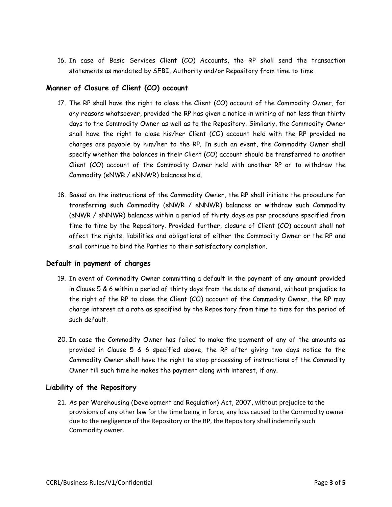16. In case of Basic Services Client (CO) Accounts, the RP shall send the transaction statements as mandated by SEBI, Authority and/or Repository from time to time.

# **Manner of Closure of Client (CO) account**

- 17. The RP shall have the right to close the Client (CO) account of the Commodity Owner, for any reasons whatsoever, provided the RP has given a notice in writing of not less than thirty days to the Commodity Owner as well as to the Repository. Similarly, the Commodity Owner shall have the right to close his/her Client (CO) account held with the RP provided no charges are payable by him/her to the RP. In such an event, the Commodity Owner shall specify whether the balances in their Client (CO) account should be transferred to another Client (CO) account of the Commodity Owner held with another RP or to withdraw the Commodity (eNWR / eNNWR) balances held.
- 18. Based on the instructions of the Commodity Owner, the RP shall initiate the procedure for transferring such Commodity (eNWR / eNNWR) balances or withdraw such Commodity (eNWR / eNNWR) balances within a period of thirty days as per procedure specified from time to time by the Repository. Provided further, closure of Client (CO) account shall not affect the rights, liabilities and obligations of either the Commodity Owner or the RP and shall continue to bind the Parties to their satisfactory completion.

# **Default in payment of charges**

- 19. In event of Commodity Owner committing a default in the payment of any amount provided in Clause 5 & 6 within a period of thirty days from the date of demand, without prejudice to the right of the RP to close the Client (CO) account of the Commodity Owner, the RP may charge interest at a rate as specified by the Repository from time to time for the period of such default.
- 20. In case the Commodity Owner has failed to make the payment of any of the amounts as provided in Clause 5 & 6 specified above, the RP after giving two days notice to the Commodity Owner shall have the right to stop processing of instructions of the Commodity Owner till such time he makes the payment along with interest, if any.

# **Liability of the Repository**

21. As per Warehousing (Development and Regulation) Act, 2007, without prejudice to the provisions of any other law for the time being in force, any loss caused to the Commodity owner due to the negligence of the Repository or the RP, the Repository shall indemnify such Commodity owner.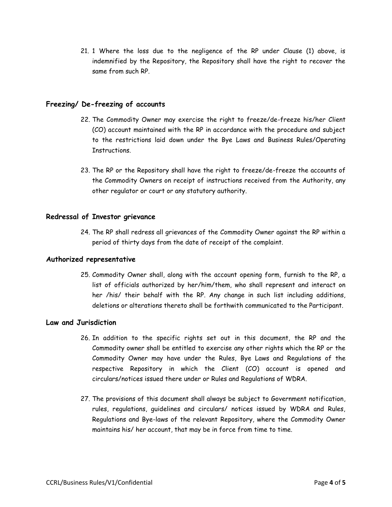21. 1 Where the loss due to the negligence of the RP under Clause (1) above, is indemnified by the Repository, the Repository shall have the right to recover the same from such RP.

### **Freezing/ De-freezing of accounts**

- 22. The Commodity Owner may exercise the right to freeze/de-freeze his/her Client (CO) account maintained with the RP in accordance with the procedure and subject to the restrictions laid down under the Bye Laws and Business Rules/Operating Instructions.
- 23. The RP or the Repository shall have the right to freeze/de-freeze the accounts of the Commodity Owners on receipt of instructions received from the Authority, any other regulator or court or any statutory authority.

#### **Redressal of Investor grievance**

24. The RP shall redress all grievances of the Commodity Owner against the RP within a period of thirty days from the date of receipt of the complaint.

#### **Authorized representative**

25. Commodity Owner shall, along with the account opening form, furnish to the RP, a list of officials authorized by her/him/them, who shall represent and interact on her /his/ their behalf with the RP. Any change in such list including additions, deletions or alterations thereto shall be forthwith communicated to the Participant.

#### **Law and Jurisdiction**

- 26. In addition to the specific rights set out in this document, the RP and the Commodity owner shall be entitled to exercise any other rights which the RP or the Commodity Owner may have under the Rules, Bye Laws and Regulations of the respective Repository in which the Client (CO) account is opened and circulars/notices issued there under or Rules and Regulations of WDRA.
- 27. The provisions of this document shall always be subject to Government notification, rules, regulations, guidelines and circulars/ notices issued by WDRA and Rules, Regulations and Bye-laws of the relevant Repository, where the Commodity Owner maintains his/ her account, that may be in force from time to time.